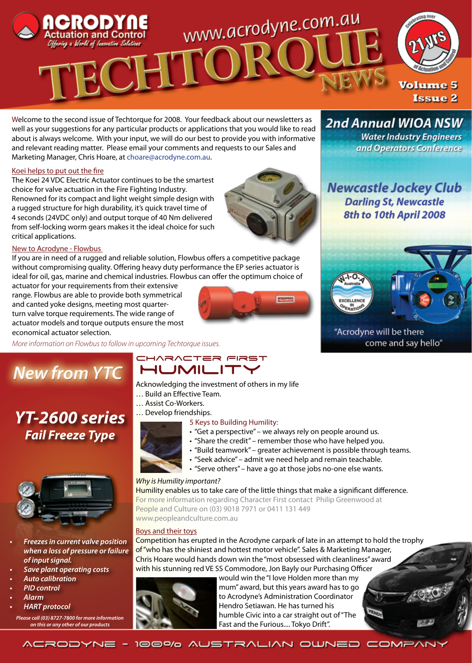

Welcome to the second issue of Techtorque for 2008. Your feedback about our newsletters as well as your suggestions for any particular products or applications that you would like to read about is always welcome. With your input, we will do our best to provide you with informative and relevant reading matter. Please email your comments and requests to our Sales and Marketing Manager, Chris Hoare, at choare@acrodyne.com.au.

#### Koei helps to put out the fire

The Koei 24 VDC Electric Actuator continues to be the smartest choice for valve actuation in the Fire Fighting Industry. Renowned for its compact and light weight simple design with a rugged structure for high durability, it's quick travel time of 4 seconds (24VDC only) and output torque of 40 Nm delivered from self-locking worm gears makes it the ideal choice for such critical applications.

#### New to Acrodyne - Flowbus

If you are in need of a rugged and reliable solution, Flowbus offers a competitive package without compromising quality. Offering heavy duty performance the EP series actuator is ideal for oil, gas, marine and chemical industries. Flowbus can offer the optimum choice of

actuator for your requirements from their extensive range. Flowbus are able to provide both symmetrical and canted yoke designs, meeting most quarterturn valve torque requirements. The wide range of actuator models and torque outputs ensure the most economical actuator selection.

*More information on Flowbus to follow in upcoming Techtorque issues.*

## **New from YTC**

## *YT-2600 series Fail Freeze Type*



- **Freezes in current valve position** *when a loss of pressure or failure of input signal.*
- **Save plant operating costs**
- **•**  *Auto calibration*
- **•**  *PID control*
- **•**  *Alarm*
- **•**  *HART protocol*
- *Please call (03) 8727-7800 for more information on this or any other of our products*

### CHARACTER FIRST **HUMILIT**

- Acknowledging the investment of others in my life
- … Build an Effective Team.
- … Assist Co-Workers.

… Develop friendships.

#### 5 Keys to Building Humility:

• "Get a perspective" – we always rely on people around us.

**Excessive** 

- "Share the credit" remember those who have helped you.
- "Build teamwork" greater achievement is possible through teams.
- "Seek advice" admit we need help and remain teachable.
- "Serve others" have a go at those jobs no-one else wants.

#### *Why is Humility important?*

Humility enables us to take care of the little things that make a significant difference. For more information regarding Character First contact Philip Greenwood at People and Culture on (03) 9018 7971 or 0411 131 449 www.peopleandculture.com.au

#### Boys and their toys

Competition has erupted in the Acrodyne carpark of late in an attempt to hold the trophy of "who has the shiniest and hottest motor vehicle". Sales & Marketing Manager, Chris Hoare would hands down win the "most obsessed with cleanliness" award with his stunning red VE SS Commodore, Jon Bayly our Purchasing Officer



would win the "I love Holden more than my mum" award, but this years award has to go to Acrodyne's Administration Coordinator Hendro Setiawan. He has turned his humble Civic into a car straight out of "The Fast and the Furious.... Tokyo Drift".

**Water Industry Engineers** and Operators Conference

**2nd Annual WIOA NSW** 

**Newcastle Jockey Club Darling St, Newcastle** 8th to 10th April 2008



#### "Acrodyne will be there come and say hello"

ACRODYNE - 100% AUSTRALIAN OWNED COMPANY